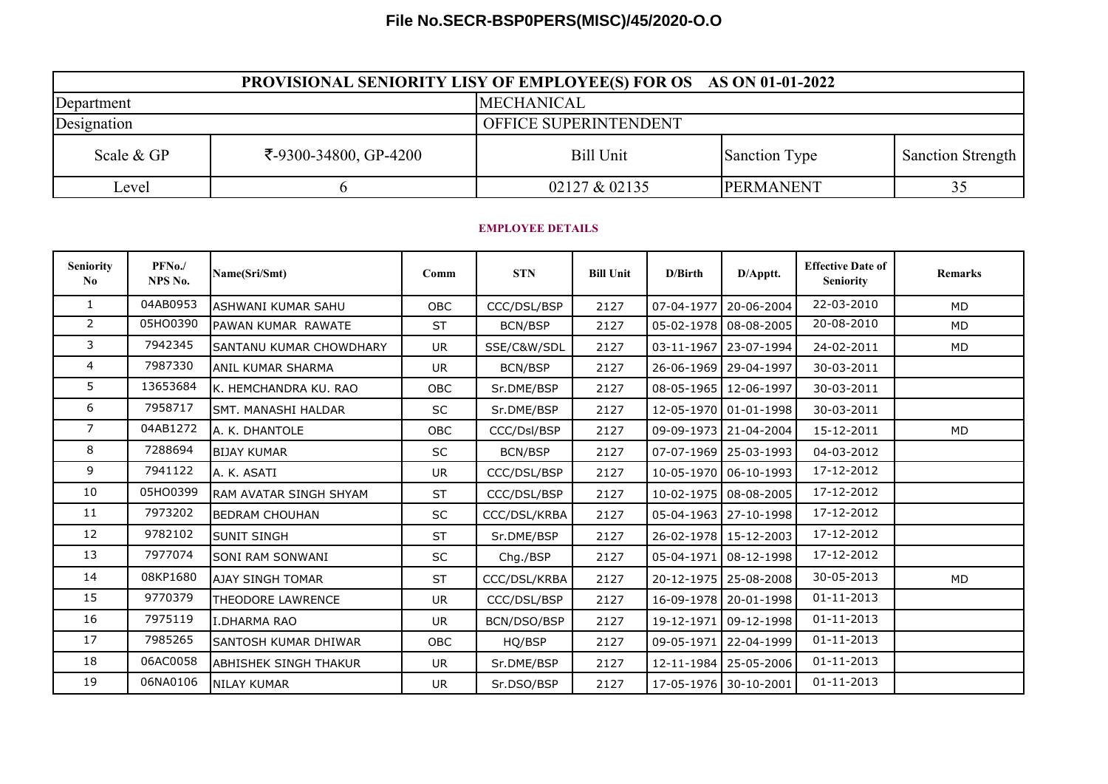## **File No.SECR-BSP0PERS(MISC)/45/2020-O.O**

| <b>PROVISIONAL SENIORITY LISY OF EMPLOYEE(S) FOR OS AS ON 01-01-2022</b> |                       |                       |                  |                          |  |  |  |  |  |
|--------------------------------------------------------------------------|-----------------------|-----------------------|------------------|--------------------------|--|--|--|--|--|
| Department                                                               |                       | <b>MECHANICAL</b>     |                  |                          |  |  |  |  |  |
| Designation                                                              |                       | OFFICE SUPERINTENDENT |                  |                          |  |  |  |  |  |
| Scale & GP                                                               | ₹-9300-34800, GP-4200 | <b>Bill Unit</b>      | Sanction Type    | <b>Sanction Strength</b> |  |  |  |  |  |
| Level                                                                    |                       | 02127 & 02135         | <b>PERMANENT</b> |                          |  |  |  |  |  |

## **EMPLOYEE DETAILS**

| <b>Seniority</b><br>No. | PFNo./<br>NPS No. | Name(Sri/Smt)                | Comm       | <b>STN</b>   | <b>Bill Unit</b> | D/Birth | D/Apptt.                | <b>Effective Date of</b><br><b>Seniority</b> | <b>Remarks</b> |
|-------------------------|-------------------|------------------------------|------------|--------------|------------------|---------|-------------------------|----------------------------------------------|----------------|
| $\mathbf{1}$            | 04AB0953          | ASHWANI KUMAR SAHU           | <b>OBC</b> | CCC/DSL/BSP  | 2127             |         | 07-04-1977 20-06-2004   | 22-03-2010                                   | <b>MD</b>      |
| $\overline{2}$          | 05HO0390          | PAWAN KUMAR RAWATE           | <b>ST</b>  | BCN/BSP      | 2127             |         | 05-02-1978 08-08-2005   | 20-08-2010                                   | <b>MD</b>      |
| 3                       | 7942345           | SANTANU KUMAR CHOWDHARY      | <b>UR</b>  | SSE/C&W/SDL  | 2127             |         | 03-11-1967   23-07-1994 | 24-02-2011                                   | MD             |
| 4                       | 7987330           | <b>ANIL KUMAR SHARMA</b>     | <b>UR</b>  | BCN/BSP      | 2127             |         | 26-06-1969   29-04-1997 | 30-03-2011                                   |                |
| 5                       | 13653684          | K. HEMCHANDRA KU. RAO        | OBC        | Sr.DME/BSP   | 2127             |         | 08-05-1965 12-06-1997   | 30-03-2011                                   |                |
| 6                       | 7958717           | SMT. MANASHI HALDAR          | SC         | Sr.DME/BSP   | 2127             |         | 12-05-1970 01-01-1998   | 30-03-2011                                   |                |
| $\overline{7}$          | 04AB1272          | A. K. DHANTOLE               | <b>OBC</b> | CCC/Dsl/BSP  | 2127             |         | 09-09-1973 21-04-2004   | 15-12-2011                                   | MD             |
| 8                       | 7288694           | <b>BIJAY KUMAR</b>           | SC         | BCN/BSP      | 2127             |         | 07-07-1969 25-03-1993   | 04-03-2012                                   |                |
| 9                       | 7941122           | A. K. ASATI                  | <b>UR</b>  | CCC/DSL/BSP  | 2127             |         | 10-05-1970 06-10-1993   | 17-12-2012                                   |                |
| 10                      | 05HO0399          | RAM AVATAR SINGH SHYAM       | <b>ST</b>  | CCC/DSL/BSP  | 2127             |         | 10-02-1975 08-08-2005   | 17-12-2012                                   |                |
| 11                      | 7973202           | <b>BEDRAM CHOUHAN</b>        | SC         | CCC/DSL/KRBA | 2127             |         | 05-04-1963 27-10-1998   | 17-12-2012                                   |                |
| 12                      | 9782102           | SUNIT SINGH                  | <b>ST</b>  | Sr.DME/BSP   | 2127             |         | 26-02-1978 15-12-2003   | 17-12-2012                                   |                |
| 13                      | 7977074           | SONI RAM SONWANI             | SC         | Chg./BSP     | 2127             |         | 05-04-1971 08-12-1998   | 17-12-2012                                   |                |
| 14                      | 08KP1680          | <b>AJAY SINGH TOMAR</b>      | <b>ST</b>  | CCC/DSL/KRBA | 2127             |         | 20-12-1975   25-08-2008 | 30-05-2013                                   | <b>MD</b>      |
| 15                      | 9770379           | <b>THEODORE LAWRENCE</b>     | <b>UR</b>  | CCC/DSL/BSP  | 2127             |         | 16-09-1978 20-01-1998   | 01-11-2013                                   |                |
| 16                      | 7975119           | <b>I.DHARMA RAO</b>          | <b>UR</b>  | BCN/DSO/BSP  | 2127             |         | 19-12-1971 09-12-1998   | $01 - 11 - 2013$                             |                |
| 17                      | 7985265           | SANTOSH KUMAR DHIWAR         | <b>OBC</b> | HQ/BSP       | 2127             |         | 09-05-1971 22-04-1999   | $01 - 11 - 2013$                             |                |
| 18                      | 06AC0058          | <b>ABHISHEK SINGH THAKUR</b> | UR         | Sr.DME/BSP   | 2127             |         | 12-11-1984 25-05-2006   | $01 - 11 - 2013$                             |                |
| 19                      | 06NA0106          | <b>NILAY KUMAR</b>           | <b>UR</b>  | Sr.DSO/BSP   | 2127             |         | 17-05-1976 30-10-2001   | 01-11-2013                                   |                |